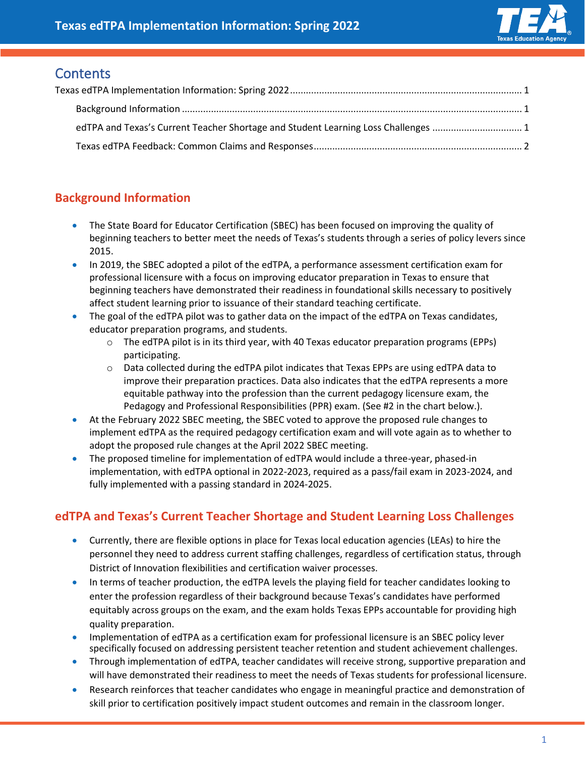

# <span id="page-0-0"></span>**Contents**

| edTPA and Texas's Current Teacher Shortage and Student Learning Loss Challenges 1 |  |
|-----------------------------------------------------------------------------------|--|
|                                                                                   |  |

# <span id="page-0-1"></span>**Background Information**

- The State Board for Educator Certification (SBEC) has been focused on improving the quality of beginning teachers to better meet the needs of Texas's students through a series of policy levers since 2015.
- In 2019, the SBEC adopted a pilot of the edTPA, a performance assessment certification exam for professional licensure with a focus on improving educator preparation in Texas to ensure that beginning teachers have demonstrated their readiness in foundational skills necessary to positively affect student learning prior to issuance of their standard teaching certificate.
- The goal of the edTPA pilot was to gather data on the impact of the edTPA on Texas candidates, educator preparation programs, and students.
	- $\circ$  The edTPA pilot is in its third year, with 40 Texas educator preparation programs (EPPs) participating.
	- o Data collected during the edTPA pilot indicates that Texas EPPs are using edTPA data to improve their preparation practices. Data also indicates that the edTPA represents a more equitable pathway into the profession than the current pedagogy licensure exam, the Pedagogy and Professional Responsibilities (PPR) exam. (See #2 in the chart below.).
- At the February 2022 SBEC meeting, the SBEC voted to approve the proposed rule changes to implement edTPA as the required pedagogy certification exam and will vote again as to whether to adopt the proposed rule changes at the April 2022 SBEC meeting.
- The proposed timeline for implementation of edTPA would include a three-year, phased-in implementation, with edTPA optional in 2022-2023, required as a pass/fail exam in 2023-2024, and fully implemented with a passing standard in 2024-2025.

## <span id="page-0-2"></span>**edTPA and Texas's Current Teacher Shortage and Student Learning Loss Challenges**

- Currently, there are flexible options in place for Texas local education agencies (LEAs) to hire the personnel they need to address current staffing challenges, regardless of certification status, through District of Innovation flexibilities and certification waiver processes.
- In terms of teacher production, the edTPA levels the playing field for teacher candidates looking to enter the profession regardless of their background because Texas's candidates have performed equitably across groups on the exam, and the exam holds Texas EPPs accountable for providing high quality preparation.
- Implementation of edTPA as a certification exam for professional licensure is an SBEC policy lever specifically focused on addressing persistent teacher retention and student achievement challenges.
- Through implementation of edTPA, teacher candidates will receive strong, supportive preparation and will have demonstrated their readiness to meet the needs of Texas students for professional licensure.
- Research reinforces that teacher candidates who engage in meaningful practice and demonstration of skill prior to certification positively impact student outcomes and remain in the classroom longer.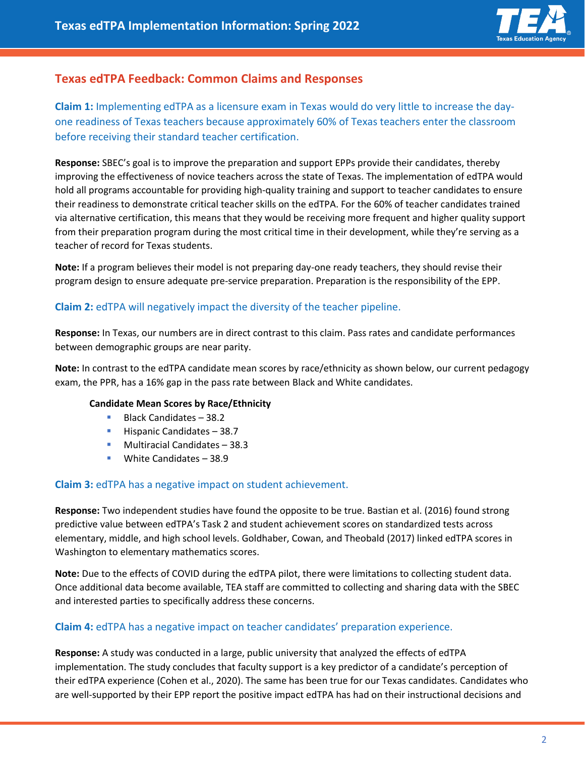

### <span id="page-1-0"></span>**Texas edTPA Feedback: Common Claims and Responses**

**Claim 1:** Implementing edTPA as a licensure exam in Texas would do very little to increase the dayone readiness of Texas teachers because approximately 60% of Texas teachers enter the classroom before receiving their standard teacher certification.

**Response:** SBEC's goal is to improve the preparation and support EPPs provide their candidates, thereby improving the effectiveness of novice teachers across the state of Texas. The implementation of edTPA would hold all programs accountable for providing high-quality training and support to teacher candidates to ensure their readiness to demonstrate critical teacher skills on the edTPA. For the 60% of teacher candidates trained via alternative certification, this means that they would be receiving more frequent and higher quality support from their preparation program during the most critical time in their development, while they're serving as a teacher of record for Texas students.

**Note:** If a program believes their model is not preparing day-one ready teachers, they should revise their program design to ensure adequate pre-service preparation. Preparation is the responsibility of the EPP.

### **Claim 2:** edTPA will negatively impact the diversity of the teacher pipeline.

**Response:** In Texas, our numbers are in direct contrast to this claim. Pass rates and candidate performances between demographic groups are near parity.

**Note:** In contrast to the edTPA candidate mean scores by race/ethnicity as shown below, our current pedagogy exam, the PPR, has a 16% gap in the pass rate between Black and White candidates.

#### **Candidate Mean Scores by Race/Ethnicity**

- Black Candidates 38.2
- Hispanic Candidates 38.7
- Multiracial Candidates 38.3
- White Candidates 38.9

#### **Claim 3:** edTPA has a negative impact on student achievement.

**Response:** Two independent studies have found the opposite to be true. Bastian et al. (2016) found strong predictive value between edTPA's Task 2 and student achievement scores on standardized tests across elementary, middle, and high school levels. Goldhaber, Cowan, and Theobald (2017) linked edTPA scores in Washington to elementary mathematics scores.

**Note:** Due to the effects of COVID during the edTPA pilot, there were limitations to collecting student data. Once additional data become available, TEA staff are committed to collecting and sharing data with the SBEC and interested parties to specifically address these concerns.

#### **Claim 4:** edTPA has a negative impact on teacher candidates' preparation experience.

**Response:** A study was conducted in a large, public university that analyzed the effects of edTPA implementation. The study concludes that faculty support is a key predictor of a candidate's perception of their edTPA experience (Cohen et al., 2020). The same has been true for our Texas candidates. Candidates who are well-supported by their EPP report the positive impact edTPA has had on their instructional decisions and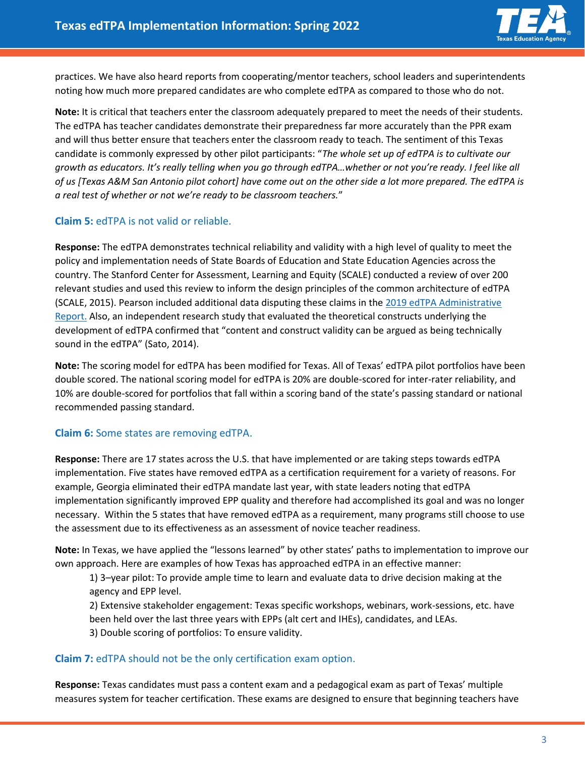

practices. We have also heard reports from cooperating/mentor teachers, school leaders and superintendents noting how much more prepared candidates are who complete edTPA as compared to those who do not.

**Note:** It is critical that teachers enter the classroom adequately prepared to meet the needs of their students. The edTPA has teacher candidates demonstrate their preparedness far more accurately than the PPR exam and will thus better ensure that teachers enter the classroom ready to teach. The sentiment of this Texas candidate is commonly expressed by other pilot participants: "*The whole set up of edTPA is to cultivate our growth as educators. It's really telling when you go through edTPA…whether or not you're ready. I feel like all of us [Texas A&M San Antonio pilot cohort] have come out on the other side a lot more prepared. The edTPA is a real test of whether or not we're ready to be classroom teachers.*"

#### **Claim 5:** edTPA is not valid or reliable.

**Response:** The edTPA demonstrates technical reliability and validity with a high level of quality to meet the policy and implementation needs of State Boards of Education and State Education Agencies across the country. The Stanford Center for Assessment, Learning and Equity (SCALE) conducted a review of over 200 relevant studies and used this review to inform the design principles of the common architecture of edTPA (SCALE, 2015). Pearson included additional data disputing these claims in the [2019 edTPA Administrative](https://edtpa.org/resource_item/2019AR)  [Report.](https://edtpa.org/resource_item/2019AR) Also, an independent research study that evaluated the theoretical constructs underlying the development of edTPA confirmed that "content and construct validity can be argued as being technically sound in the edTPA" (Sato, 2014).

**Note:** The scoring model for edTPA has been modified for Texas. All of Texas' edTPA pilot portfolios have been double scored. The national scoring model for edTPA is 20% are double-scored for inter-rater reliability, and 10% are double-scored for portfolios that fall within a scoring band of the state's passing standard or national recommended passing standard.

#### **Claim 6:** Some states are removing edTPA.

**Response:** There are 17 states across the U.S. that have implemented or are taking steps towards edTPA implementation. Five states have removed edTPA as a certification requirement for a variety of reasons. For example, Georgia eliminated their edTPA mandate last year, with state leaders noting that edTPA implementation significantly improved EPP quality and therefore had accomplished its goal and was no longer necessary. Within the 5 states that have removed edTPA as a requirement, many programs still choose to use the assessment due to its effectiveness as an assessment of novice teacher readiness.

**Note:** In Texas, we have applied the "lessons learned" by other states' paths to implementation to improve our own approach. Here are examples of how Texas has approached edTPA in an effective manner:

1) 3–year pilot: To provide ample time to learn and evaluate data to drive decision making at the agency and EPP level.

2) Extensive stakeholder engagement: Texas specific workshops, webinars, work-sessions, etc. have been held over the last three years with EPPs (alt cert and IHEs), candidates, and LEAs.

3) Double scoring of portfolios: To ensure validity.

#### **Claim 7:** edTPA should not be the only certification exam option.

**Response:** Texas candidates must pass a content exam and a pedagogical exam as part of Texas' multiple measures system for teacher certification. These exams are designed to ensure that beginning teachers have